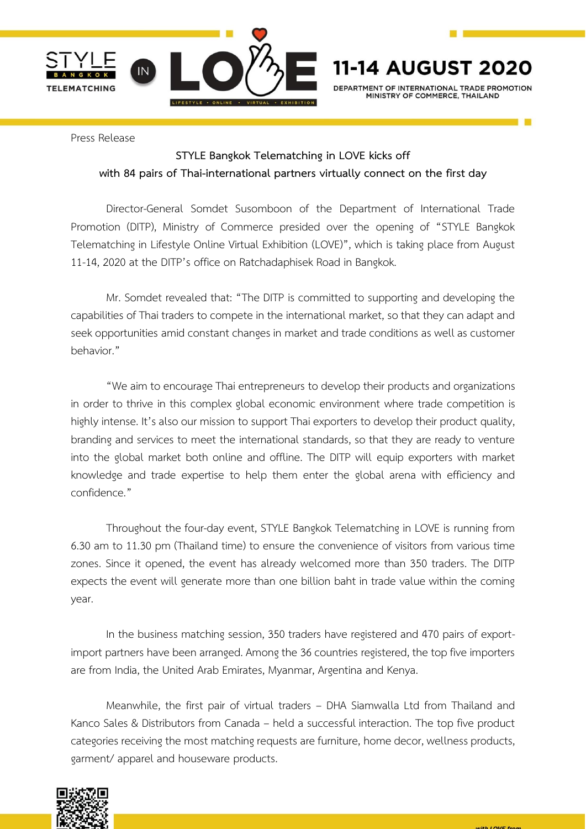

**AUGUST 2020** 11-14 DEPARTMENT OF INTERNATIONAL TRADE PROMOTION

MINISTRY OF COMMERCE THAIL AND

Press Release

## **STYLE Bangkok Telematching in LOVE kicks off with 84 pairs of Thai-international partners virtually connect on the first day**

Director-General Somdet Susomboon of the Department of International Trade Promotion (DITP), Ministry of Commerce presided over the opening of "STYLE Bangkok Telematching in Lifestyle Online Virtual Exhibition (LOVE)", which is taking place from August 11-14, 2020 at the DITP's office on Ratchadaphisek Road in Bangkok.

Mr. Somdet revealed that: "The DITP is committed to supporting and developing the capabilities of Thai traders to compete in the international market, so that they can adapt and seek opportunities amid constant changes in market and trade conditions as well as customer behavior."

"We aim to encourage Thai entrepreneurs to develop their products and organizations in order to thrive in this complex global economic environment where trade competition is highly intense. It's also our mission to support Thai exporters to develop their product quality, branding and services to meet the international standards, so that they are ready to venture into the global market both online and offline. The DITP will equip exporters with market knowledge and trade expertise to help them enter the global arena with efficiency and confidence."

Throughout the four-day event, STYLE Bangkok Telematching in LOVE is running from 6.30 am to 11.30 pm (Thailand time) to ensure the convenience of visitors from various time zones. Since it opened, the event has already welcomed more than 350 traders. The DITP expects the event will generate more than one billion baht in trade value within the coming year.

In the business matching session, 350 traders have registered and 470 pairs of exportimport partners have been arranged. Among the 36 countries registered, the top five importers are from India, the United Arab Emirates, Myanmar, Argentina and Kenya.

Meanwhile, the first pair of virtual traders – DHA Siamwalla Ltd from Thailand and Kanco Sales & Distributors from Canada – held a successful interaction. The top five product categories receiving the most matching requests are furniture, home decor, wellness products, garment/ apparel and houseware products.